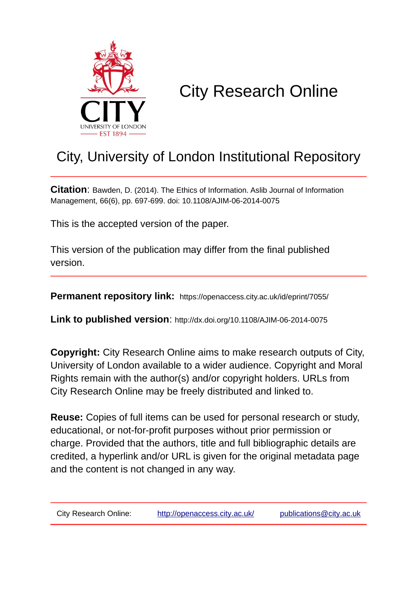

## City Research Online

## City, University of London Institutional Repository

**Citation**: Bawden, D. (2014). The Ethics of Information. Aslib Journal of Information Management, 66(6), pp. 697-699. doi: 10.1108/AJIM-06-2014-0075

This is the accepted version of the paper.

This version of the publication may differ from the final published version.

**Permanent repository link:** https://openaccess.city.ac.uk/id/eprint/7055/

**Link to published version**: http://dx.doi.org/10.1108/AJIM-06-2014-0075

**Copyright:** City Research Online aims to make research outputs of City, University of London available to a wider audience. Copyright and Moral Rights remain with the author(s) and/or copyright holders. URLs from City Research Online may be freely distributed and linked to.

**Reuse:** Copies of full items can be used for personal research or study, educational, or not-for-profit purposes without prior permission or charge. Provided that the authors, title and full bibliographic details are credited, a hyperlink and/or URL is given for the original metadata page and the content is not changed in any way.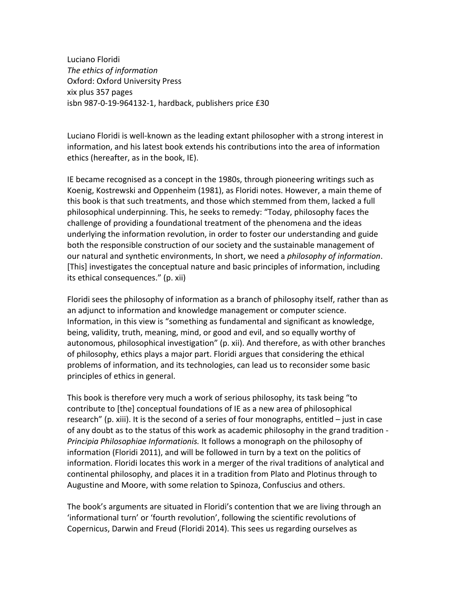Luciano Floridi *The ethics of information* Oxford: Oxford University Press xix plus 357 pages isbn 987‐0‐19‐964132‐1, hardback, publishers price £30

Luciano Floridi is well-known as the leading extant philosopher with a strong interest in information, and his latest book extends his contributions into the area of information ethics (hereafter, as in the book, IE).

IE became recognised as a concept in the 1980s, through pioneering writings such as Koenig, Kostrewski and Oppenheim (1981), as Floridi notes. However, a main theme of this book is that such treatments, and those which stemmed from them, lacked a full philosophical underpinning. This, he seeks to remedy: "Today, philosophy faces the challenge of providing a foundational treatment of the phenomena and the ideas underlying the information revolution, in order to foster our understanding and guide both the responsible construction of our society and the sustainable management of our natural and synthetic environments, In short, we need a *philosophy of information*. [This] investigates the conceptual nature and basic principles of information, including its ethical consequences." (p. xii)

Floridi sees the philosophy of information as a branch of philosophy itself, rather than as an adjunct to information and knowledge management or computer science. Information, in this view is "something as fundamental and significant as knowledge, being, validity, truth, meaning, mind, or good and evil, and so equally worthy of autonomous, philosophical investigation" (p. xii). And therefore, as with other branches of philosophy, ethics plays a major part. Floridi argues that considering the ethical problems of information, and its technologies, can lead us to reconsider some basic principles of ethics in general.

This book is therefore very much a work of serious philosophy, its task being "to contribute to [the] conceptual foundations of IE as a new area of philosophical research" (p. xiii). It is the second of a series of four monographs, entitled – just in case of any doubt as to the status of this work as academic philosophy in the grand tradition ‐ *Principia Philosophiae Informationis.* It follows a monograph on the philosophy of information (Floridi 2011), and will be followed in turn by a text on the politics of information. Floridi locates this work in a merger of the rival traditions of analytical and continental philosophy, and places it in a tradition from Plato and Plotinus through to Augustine and Moore, with some relation to Spinoza, Confuscius and others.

The book's arguments are situated in Floridi's contention that we are living through an 'informational turn' or 'fourth revolution', following the scientific revolutions of Copernicus, Darwin and Freud (Floridi 2014). This sees us regarding ourselves as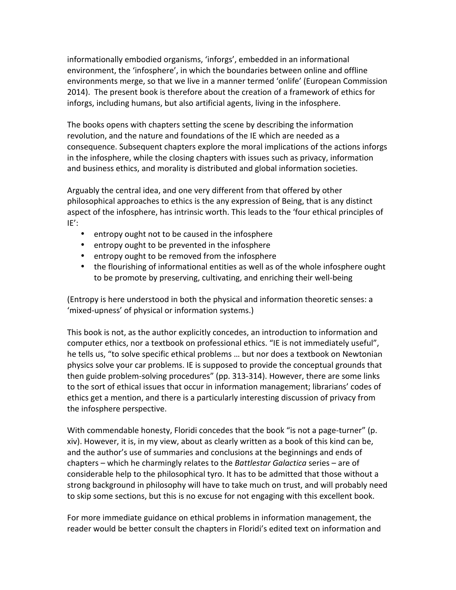informationally embodied organisms, 'inforgs', embedded in an informational environment, the 'infosphere', in which the boundaries between online and offline environments merge, so that we live in a manner termed 'onlife' (European Commission 2014). The present book is therefore about the creation of a framework of ethics for inforgs, including humans, but also artificial agents, living in the infosphere.

The books opens with chapters setting the scene by describing the information revolution, and the nature and foundations of the IE which are needed as a consequence. Subsequent chapters explore the moral implications of the actions inforgs in the infosphere, while the closing chapters with issues such as privacy, information and business ethics, and morality is distributed and global information societies.

Arguably the central idea, and one very different from that offered by other philosophical approaches to ethics is the any expression of Being, that is any distinct aspect of the infosphere, has intrinsic worth. This leads to the 'four ethical principles of IE':

- entropy ought not to be caused in the infosphere
- entropy ought to be prevented in the infosphere
- entropy ought to be removed from the infosphere
- the flourishing of informational entities as well as of the whole infosphere ought to be promote by preserving, cultivating, and enriching their well‐being

(Entropy is here understood in both the physical and information theoretic senses: a 'mixed‐upness' of physical or information systems.)

This book is not, as the author explicitly concedes, an introduction to information and computer ethics, nor a textbook on professional ethics. "IE is not immediately useful", he tells us, "to solve specific ethical problems … but nor does a textbook on Newtonian physics solve your car problems. IE is supposed to provide the conceptual grounds that then guide problem‐solving procedures" (pp. 313‐314). However, there are some links to the sort of ethical issues that occur in information management; librarians' codes of ethics get a mention, and there is a particularly interesting discussion of privacy from the infosphere perspective.

With commendable honesty, Floridi concedes that the book "is not a page-turner" (p. xiv). However, it is, in my view, about as clearly written as a book of this kind can be, and the author's use of summaries and conclusions at the beginnings and ends of chapters – which he charmingly relates to the *Battlestar Galactica* series – are of considerable help to the philosophical tyro. It has to be admitted that those without a strong background in philosophy will have to take much on trust, and will probably need to skip some sections, but this is no excuse for not engaging with this excellent book.

For more immediate guidance on ethical problems in information management, the reader would be better consult the chapters in Floridi's edited text on information and